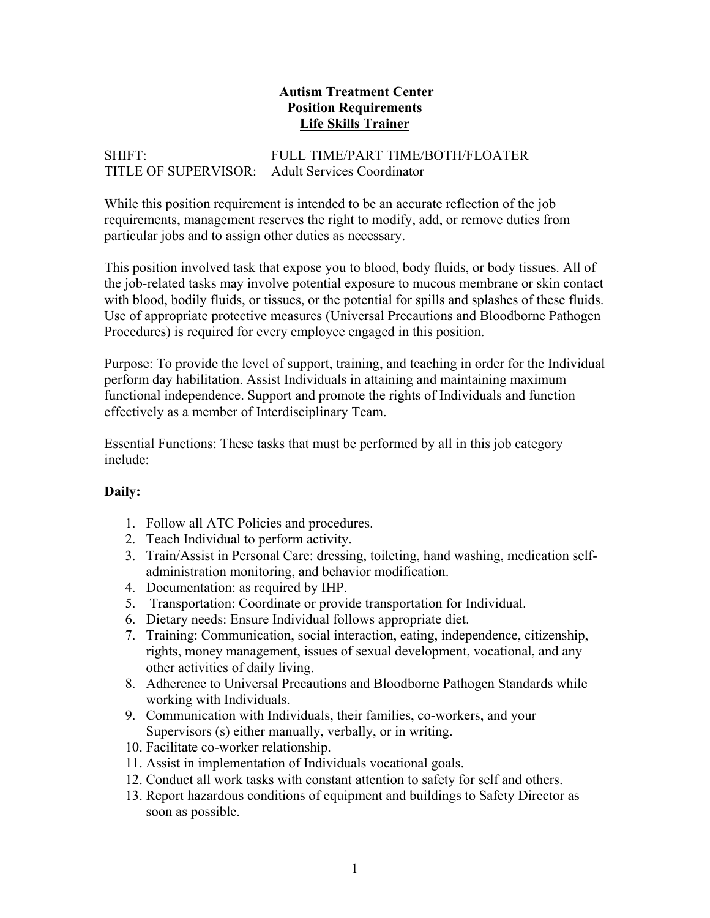### **Autism Treatment Center Position Requirements Life Skills Trainer**

# SHIFT: FULL TIME/PART TIME/BOTH/FLOATER TITLE OF SUPERVISOR: Adult Services Coordinator

While this position requirement is intended to be an accurate reflection of the job requirements, management reserves the right to modify, add, or remove duties from particular jobs and to assign other duties as necessary.

This position involved task that expose you to blood, body fluids, or body tissues. All of the job-related tasks may involve potential exposure to mucous membrane or skin contact with blood, bodily fluids, or tissues, or the potential for spills and splashes of these fluids. Use of appropriate protective measures (Universal Precautions and Bloodborne Pathogen Procedures) is required for every employee engaged in this position.

Purpose: To provide the level of support, training, and teaching in order for the Individual perform day habilitation. Assist Individuals in attaining and maintaining maximum functional independence. Support and promote the rights of Individuals and function effectively as a member of Interdisciplinary Team.

Essential Functions: These tasks that must be performed by all in this job category include:

## **Daily:**

- 1. Follow all ATC Policies and procedures.
- 2. Teach Individual to perform activity.
- 3. Train/Assist in Personal Care: dressing, toileting, hand washing, medication selfadministration monitoring, and behavior modification.
- 4. Documentation: as required by IHP.
- 5. Transportation: Coordinate or provide transportation for Individual.
- 6. Dietary needs: Ensure Individual follows appropriate diet.
- 7. Training: Communication, social interaction, eating, independence, citizenship, rights, money management, issues of sexual development, vocational, and any other activities of daily living.
- 8. Adherence to Universal Precautions and Bloodborne Pathogen Standards while working with Individuals.
- 9. Communication with Individuals, their families, co-workers, and your Supervisors (s) either manually, verbally, or in writing.
- 10. Facilitate co-worker relationship.
- 11. Assist in implementation of Individuals vocational goals.
- 12. Conduct all work tasks with constant attention to safety for self and others.
- 13. Report hazardous conditions of equipment and buildings to Safety Director as soon as possible.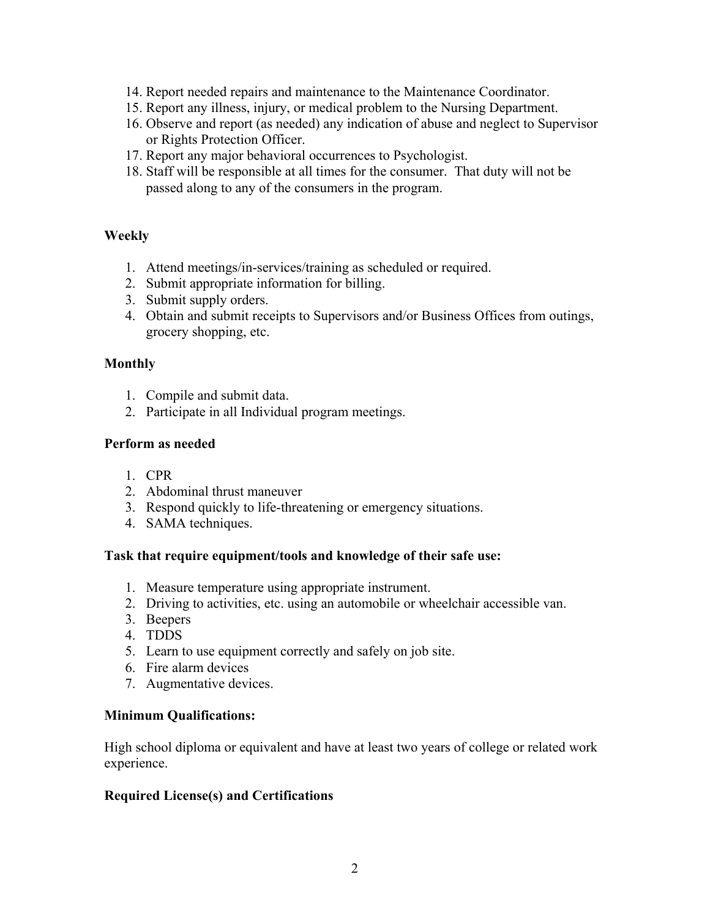- 14. Report needed repairs and maintenance to the Maintenance Coordinator.
- 15. Report any illness, injury, or medical problem to the Nursing Department.
- 16. Observe and report (as needed) any indication of abuse and neglect to Supervisor or Rights Protection Officer.
- 17. Report any major behavioral occurrences to Psychologist.
- 18. Staff will be responsible at all times for the consumer. That duty will not be passed along to any of the consumers in the program.

### **Weekly**

- 1. Attend meetings/in-services/training as scheduled or required.
- 2. Submit appropriate information for billing.
- 3. Submit supply orders.
- 4. Obtain and submit receipts to Supervisors and/or Business Offices from outings, grocery shopping, etc.

### **Monthly**

- 1. Compile and submit data.
- 2. Participate in all Individual program meetings.

### **Perform as needed**

- 1. CPR
- 2. Abdominal thrust maneuver
- 3. Respond quickly to life-threatening or emergency situations.
- 4. SAMA techniques.

#### **Task that require equipment/tools and knowledge of their safe use:**

- 1. Measure temperature using appropriate instrument.
- 2. Driving to activities, etc. using an automobile or wheelchair accessible van.
- 3. Beepers
- 4. TDDS
- 5. Learn to use equipment correctly and safely on job site.
- 6. Fire alarm devices
- 7. Augmentative devices.

#### **Minimum Qualifications:**

High school diploma or equivalent and have at least two years of college or related work experience.

## **Required License(s) and Certifications**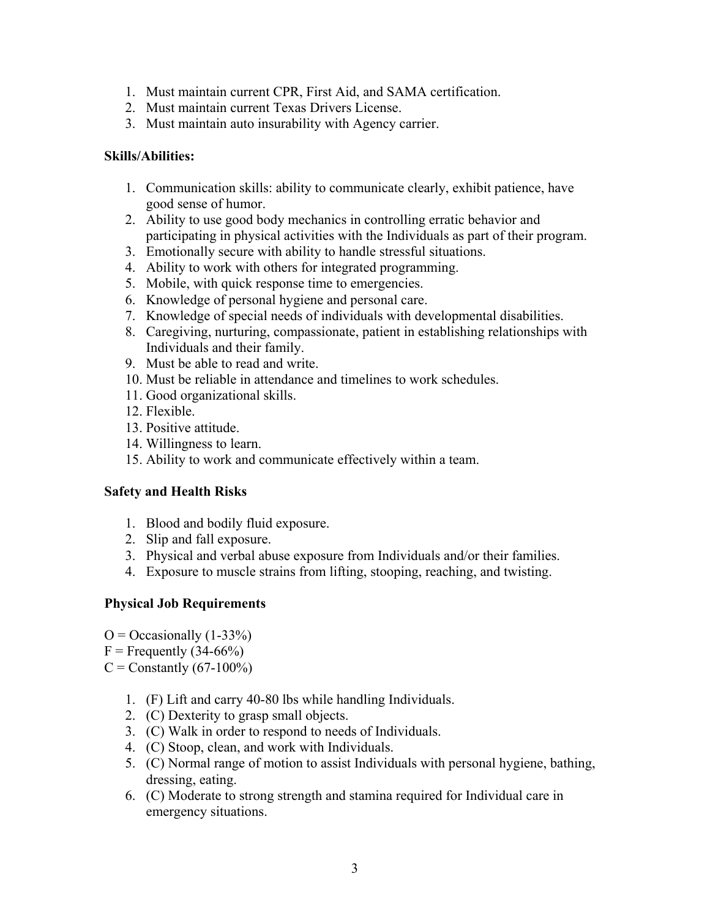- 1. Must maintain current CPR, First Aid, and SAMA certification.
- 2. Must maintain current Texas Drivers License.
- 3. Must maintain auto insurability with Agency carrier.

#### **Skills/Abilities:**

- 1. Communication skills: ability to communicate clearly, exhibit patience, have good sense of humor.
- 2. Ability to use good body mechanics in controlling erratic behavior and participating in physical activities with the Individuals as part of their program.
- 3. Emotionally secure with ability to handle stressful situations.
- 4. Ability to work with others for integrated programming.
- 5. Mobile, with quick response time to emergencies.
- 6. Knowledge of personal hygiene and personal care.
- 7. Knowledge of special needs of individuals with developmental disabilities.
- 8. Caregiving, nurturing, compassionate, patient in establishing relationships with Individuals and their family.
- 9. Must be able to read and write.
- 10. Must be reliable in attendance and timelines to work schedules.
- 11. Good organizational skills.
- 12. Flexible.
- 13. Positive attitude.
- 14. Willingness to learn.
- 15. Ability to work and communicate effectively within a team.

## **Safety and Health Risks**

- 1. Blood and bodily fluid exposure.
- 2. Slip and fall exposure.
- 3. Physical and verbal abuse exposure from Individuals and/or their families.
- 4. Exposure to muscle strains from lifting, stooping, reaching, and twisting.

## **Physical Job Requirements**

- $O = Occasionally (1-33%)$
- $F =$  Frequently (34-66%)
- $C =$  Constantly (67-100%)
	- 1. (F) Lift and carry 40-80 lbs while handling Individuals.
	- 2. (C) Dexterity to grasp small objects.
	- 3. (C) Walk in order to respond to needs of Individuals.
	- 4. (C) Stoop, clean, and work with Individuals.
	- 5. (C) Normal range of motion to assist Individuals with personal hygiene, bathing, dressing, eating.
	- 6. (C) Moderate to strong strength and stamina required for Individual care in emergency situations.